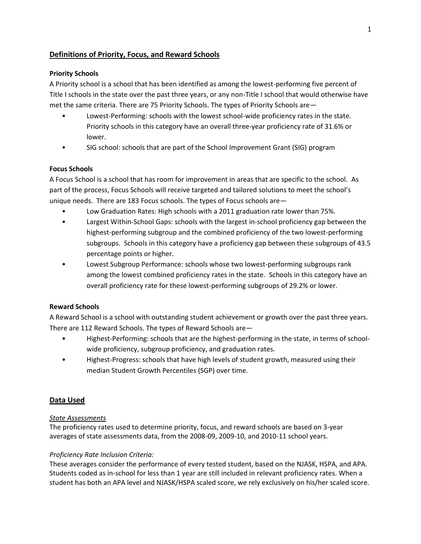# **Definitions of Priority, Focus, and Reward Schools**

## **Priority Schools**

A Priority school is a school that has been identified as among the lowest-performing five percent of Title I schools in the state over the past three years, or any non-Title I school that would otherwise have met the same criteria. There are 75 Priority Schools. The types of Priority Schools are—

- Lowest-Performing: schools with the lowest school-wide proficiency rates in the state. Priority schools in this category have an overall three-year proficiency rate of 31.6% or lower.
- SIG school: schools that are part of the School Improvement Grant (SIG) program

## **Focus Schools**

A Focus School is a school that has room for improvement in areas that are specific to the school. As part of the process, Focus Schools will receive targeted and tailored solutions to meet the school's unique needs. There are 183 Focus schools. The types of Focus schools are—

- Low Graduation Rates: High schools with a 2011 graduation rate lower than 75%.
- Largest Within-School Gaps: schools with the largest in-school proficiency gap between the highest-performing subgroup and the combined proficiency of the two lowest-performing subgroups. Schools in this category have a proficiency gap between these subgroups of 43.5 percentage points or higher.
- Lowest Subgroup Performance: schools whose two lowest-performing subgroups rank among the lowest combined proficiency rates in the state. Schools in this category have an overall proficiency rate for these lowest-performing subgroups of 29.2% or lower.

# **Reward Schools**

A Reward School is a school with outstanding student achievement or growth over the past three years. There are 112 Reward Schools. The types of Reward Schools are—

- Highest-Performing: schools that are the highest-performing in the state, in terms of schoolwide proficiency, subgroup proficiency, and graduation rates.
- Highest-Progress: schools that have high levels of student growth, measured using their median Student Growth Percentiles (SGP) over time.

# **Data Used**

## *State Assessments*

The proficiency rates used to determine priority, focus, and reward schools are based on 3-year averages of state assessments data, from the 2008-09, 2009-10, and 2010-11 school years.

# *Proficiency Rate Inclusion Criteria:*

These averages consider the performance of every tested student, based on the NJASK, HSPA, and APA. Students coded as in-school for less than 1 year are still included in relevant proficiency rates. When a student has both an APA level and NJASK/HSPA scaled score, we rely exclusively on his/her scaled score.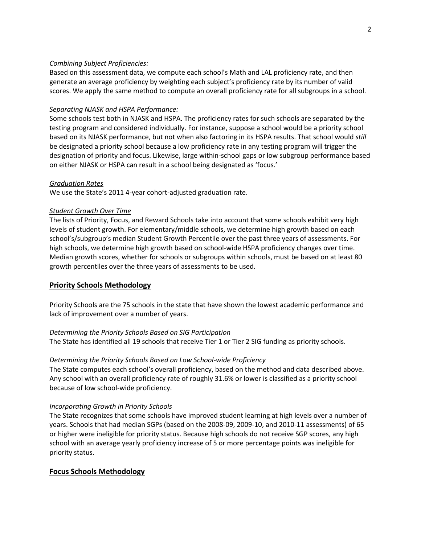### *Combining Subject Proficiencies:*

Based on this assessment data, we compute each school's Math and LAL proficiency rate, and then generate an average proficiency by weighting each subject's proficiency rate by its number of valid scores. We apply the same method to compute an overall proficiency rate for all subgroups in a school.

### *Separating NJASK and HSPA Performance:*

Some schools test both in NJASK and HSPA. The proficiency rates for such schools are separated by the testing program and considered individually. For instance, suppose a school would be a priority school based on its NJASK performance, but not when also factoring in its HSPA results. That school would *still* be designated a priority school because a low proficiency rate in any testing program will trigger the designation of priority and focus. Likewise, large within-school gaps or low subgroup performance based on either NJASK or HSPA can result in a school being designated as 'focus.'

### *Graduation Rates*

We use the State's 2011 4-year cohort-adjusted graduation rate.

### *Student Growth Over Time*

The lists of Priority, Focus, and Reward Schools take into account that some schools exhibit very high levels of student growth. For elementary/middle schools, we determine high growth based on each school's/subgroup's median Student Growth Percentile over the past three years of assessments. For high schools, we determine high growth based on school-wide HSPA proficiency changes over time. Median growth scores, whether for schools or subgroups within schools, must be based on at least 80 growth percentiles over the three years of assessments to be used.

## **Priority Schools Methodology**

Priority Schools are the 75 schools in the state that have shown the lowest academic performance and lack of improvement over a number of years.

## *Determining the Priority Schools Based on SIG Participation*

The State has identified all 19 schools that receive Tier 1 or Tier 2 SIG funding as priority schools.

## *Determining the Priority Schools Based on Low School-wide Proficiency*

The State computes each school's overall proficiency, based on the method and data described above. Any school with an overall proficiency rate of roughly 31.6% or lower is classified as a priority school because of low school-wide proficiency.

## *Incorporating Growth in Priority Schools*

The State recognizes that some schools have improved student learning at high levels over a number of years. Schools that had median SGPs (based on the 2008-09, 2009-10, and 2010-11 assessments) of 65 or higher were ineligible for priority status. Because high schools do not receive SGP scores, any high school with an average yearly proficiency increase of 5 or more percentage points was ineligible for priority status.

## **Focus Schools Methodology**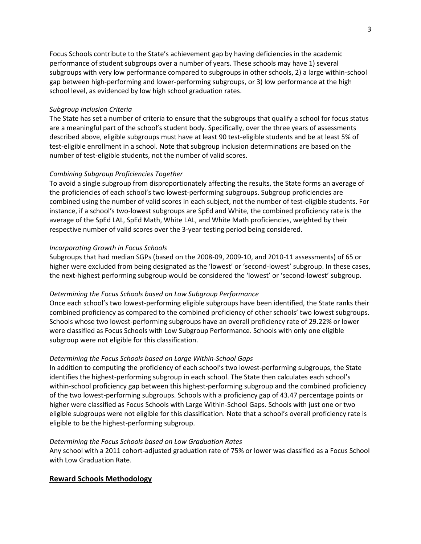Focus Schools contribute to the State's achievement gap by having deficiencies in the academic performance of student subgroups over a number of years. These schools may have 1) several subgroups with very low performance compared to subgroups in other schools, 2) a large within-school gap between high-performing and lower-performing subgroups, or 3) low performance at the high school level, as evidenced by low high school graduation rates.

### *Subgroup Inclusion Criteria*

The State has set a number of criteria to ensure that the subgroups that qualify a school for focus status are a meaningful part of the school's student body. Specifically, over the three years of assessments described above, eligible subgroups must have at least 90 test-eligible students and be at least 5% of test-eligible enrollment in a school. Note that subgroup inclusion determinations are based on the number of test-eligible students, not the number of valid scores.

### *Combining Subgroup Proficiencies Together*

To avoid a single subgroup from disproportionately affecting the results, the State forms an average of the proficiencies of each school's two lowest-performing subgroups. Subgroup proficiencies are combined using the number of valid scores in each subject, not the number of test-eligible students. For instance, if a school's two-lowest subgroups are SpEd and White, the combined proficiency rate is the average of the SpEd LAL, SpEd Math, White LAL, and White Math proficiencies, weighted by their respective number of valid scores over the 3-year testing period being considered.

#### *Incorporating Growth in Focus Schools*

Subgroups that had median SGPs (based on the 2008-09, 2009-10, and 2010-11 assessments) of 65 or higher were excluded from being designated as the 'lowest' or 'second-lowest' subgroup. In these cases, the next-highest performing subgroup would be considered the 'lowest' or 'second-lowest' subgroup.

#### *Determining the Focus Schools based on Low Subgroup Performance*

Once each school's two lowest-performing eligible subgroups have been identified, the State ranks their combined proficiency as compared to the combined proficiency of other schools' two lowest subgroups. Schools whose two lowest-performing subgroups have an overall proficiency rate of 29.22% or lower were classified as Focus Schools with Low Subgroup Performance. Schools with only one eligible subgroup were not eligible for this classification.

### *Determining the Focus Schools based on Large Within-School Gaps*

In addition to computing the proficiency of each school's two lowest-performing subgroups, the State identifies the highest-performing subgroup in each school. The State then calculates each school's within-school proficiency gap between this highest-performing subgroup and the combined proficiency of the two lowest-performing subgroups. Schools with a proficiency gap of 43.47 percentage points or higher were classified as Focus Schools with Large Within-School Gaps. Schools with just one or two eligible subgroups were not eligible for this classification. Note that a school's overall proficiency rate is eligible to be the highest-performing subgroup.

#### *Determining the Focus Schools based on Low Graduation Rates*

Any school with a 2011 cohort-adjusted graduation rate of 75% or lower was classified as a Focus School with Low Graduation Rate.

#### **Reward Schools Methodology**